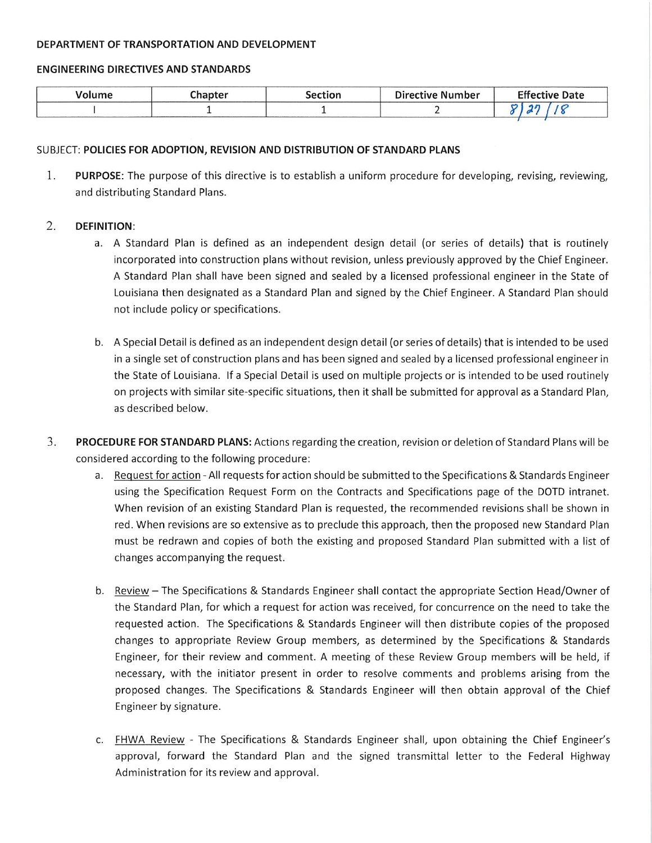#### DEPARTMENT OF TRANSPORTATION AND DEVELOPMENT

### **ENGINEERING DIRECTIVES AND STANDARDS**

| hapter | ection | <b>Directive Number</b> | rss.<br><b>Effective Date</b> |
|--------|--------|-------------------------|-------------------------------|
|        |        |                         |                               |

## SUBJECT: POLICIES FOR ADOPTION, REVISION AND DISTRIBUTION OF STANDARD PLANS

1. PURPOSE: The purpose of this directive is to establish a uniform procedure for developing, revising, reviewing, and distributing Standard Plans.

#### 2. **DEFINITION:**

- a. A Standard Plan is defined as an independent design detail (or series of details) that is routinely incorporated into construction plans without revision, unless previously approved by the Chief Engineer. A Standard Plan shall have been signed and sealed by a licensed professional engineer in the State of Louisiana then designated as a Standard Plan and signed by the Chief Engineer. A Standard Plan should not include policy or specifications.
- b. A Special Detail is defined as an independent design detail (or series of details) that is intended to be used in a single set of construction plans and has been signed and sealed by a licensed professional engineer in the State of Louisiana. If a Special Detail is used on multiple projects or is intended to be used routinely on projects with similar site-specific situations, then it shall be submitted for approval as a Standard Plan, as described below.
- $3.$ PROCEDURE FOR STANDARD PLANS: Actions regarding the creation, revision or deletion of Standard Plans will be considered according to the following procedure:
	- a. Request for action All requests for action should be submitted to the Specifications & Standards Engineer using the Specification Request Form on the Contracts and Specifications page of the DOTD intranet. When revision of an existing Standard Plan is requested, the recommended revisions shall be shown in red. When revisions are so extensive as to preclude this approach, then the proposed new Standard Plan must be redrawn and copies of both the existing and proposed Standard Plan submitted with a list of changes accompanying the request.
	- b. Review The Specifications & Standards Engineer shall contact the appropriate Section Head/Owner of the Standard Plan, for which a request for action was received, for concurrence on the need to take the requested action. The Specifications & Standards Engineer will then distribute copies of the proposed changes to appropriate Review Group members, as determined by the Specifications & Standards Engineer, for their review and comment. A meeting of these Review Group members will be held, if necessary, with the initiator present in order to resolve comments and problems arising from the proposed changes. The Specifications & Standards Engineer will then obtain approval of the Chief Engineer by signature.
	- c. FHWA Review The Specifications & Standards Engineer shall, upon obtaining the Chief Engineer's approval, forward the Standard Plan and the signed transmittal letter to the Federal Highway Administration for its review and approval.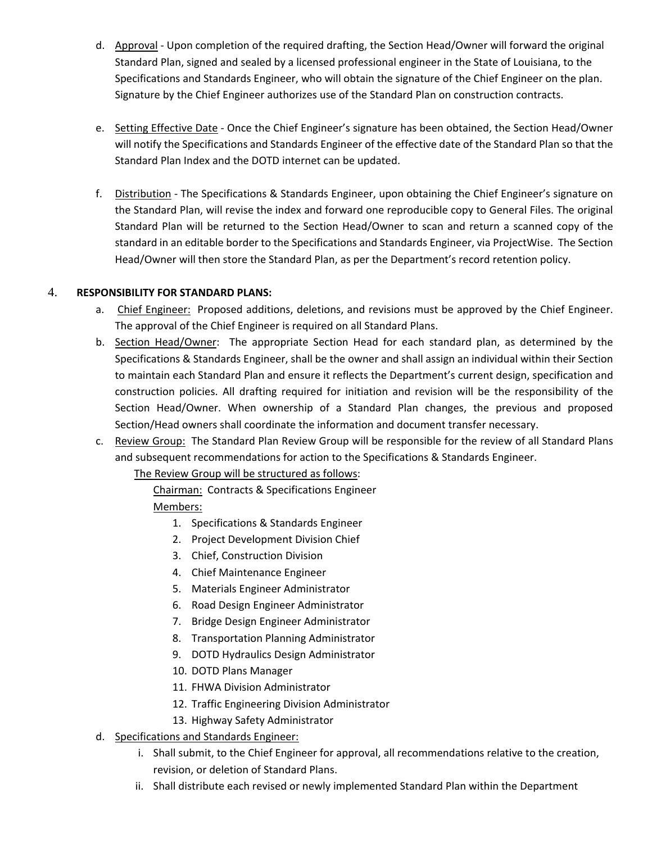- d. Approval Upon completion of the required drafting, the Section Head/Owner will forward the original Standard Plan, signed and sealed by a licensed professional engineer in the State of Louisiana, to the Specifications and Standards Engineer, who will obtain the signature of the Chief Engineer on the plan. Signature by the Chief Engineer authorizes use of the Standard Plan on construction contracts.
- e. Setting Effective Date Once the Chief Engineer's signature has been obtained, the Section Head/Owner will notify the Specifications and Standards Engineer of the effective date of the Standard Plan so that the Standard Plan Index and the DOTD internet can be updated.
- f. Distribution ‐ The Specifications & Standards Engineer, upon obtaining the Chief Engineer's signature on the Standard Plan, will revise the index and forward one reproducible copy to General Files. The original Standard Plan will be returned to the Section Head/Owner to scan and return a scanned copy of the standard in an editable border to the Specifications and Standards Engineer, via ProjectWise. The Section Head/Owner will then store the Standard Plan, as per the Department's record retention policy.

# 4. **RESPONSIBILITY FOR STANDARD PLANS:**

- a. Chief Engineer: Proposed additions, deletions, and revisions must be approved by the Chief Engineer. The approval of the Chief Engineer is required on all Standard Plans.
- b. Section Head/Owner: The appropriate Section Head for each standard plan, as determined by the Specifications & Standards Engineer, shall be the owner and shall assign an individual within their Section to maintain each Standard Plan and ensure it reflects the Department's current design, specification and construction policies. All drafting required for initiation and revision will be the responsibility of the Section Head/Owner. When ownership of a Standard Plan changes, the previous and proposed Section/Head owners shall coordinate the information and document transfer necessary.
- c. Review Group: The Standard Plan Review Group will be responsible for the review of all Standard Plans and subsequent recommendations for action to the Specifications & Standards Engineer.

The Review Group will be structured as follows:

Chairman: Contracts & Specifications Engineer Members:

- 1. Specifications & Standards Engineer
- 2. Project Development Division Chief
- 3. Chief, Construction Division
- 4. Chief Maintenance Engineer
- 5. Materials Engineer Administrator
- 6. Road Design Engineer Administrator
- 7. Bridge Design Engineer Administrator
- 8. Transportation Planning Administrator
- 9. DOTD Hydraulics Design Administrator
- 10. DOTD Plans Manager
- 11. FHWA Division Administrator
- 12. Traffic Engineering Division Administrator
- 13. Highway Safety Administrator
- d. Specifications and Standards Engineer:
	- i. Shall submit, to the Chief Engineer for approval, all recommendations relative to the creation, revision, or deletion of Standard Plans.
	- ii. Shall distribute each revised or newly implemented Standard Plan within the Department